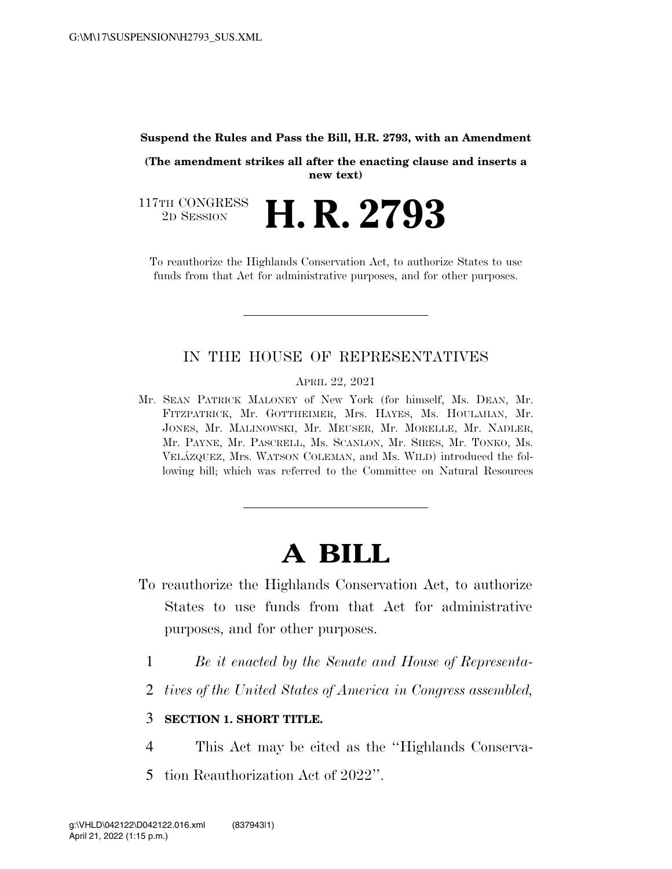## **Suspend the Rules and Pass the Bill, H.R. 2793, with an Amendment**

**(The amendment strikes all after the enacting clause and inserts a new text)** 

117TH CONGRESS<br>2D SESSION **H. R. 2793** 

To reauthorize the Highlands Conservation Act, to authorize States to use funds from that Act for administrative purposes, and for other purposes.

## IN THE HOUSE OF REPRESENTATIVES

APRIL 22, 2021

Mr. SEAN PATRICK MALONEY of New York (for himself, Ms. DEAN, Mr. FITZPATRICK, Mr. GOTTHEIMER, Mrs. HAYES, Ms. HOULAHAN, Mr. JONES, Mr. MALINOWSKI, Mr. MEUSER, Mr. MORELLE, Mr. NADLER, Mr. PAYNE, Mr. PASCRELL, Ms. SCANLON, Mr. SIRES, Mr. TONKO, Ms. VELA´ZQUEZ, Mrs. WATSON COLEMAN, and Ms. WILD) introduced the following bill; which was referred to the Committee on Natural Resources

## **A BILL**

- To reauthorize the Highlands Conservation Act, to authorize States to use funds from that Act for administrative purposes, and for other purposes.
	- 1 *Be it enacted by the Senate and House of Representa-*
	- 2 *tives of the United States of America in Congress assembled,*

## 3 **SECTION 1. SHORT TITLE.**

- 4 This Act may be cited as the ''Highlands Conserva-
- 5 tion Reauthorization Act of 2022''.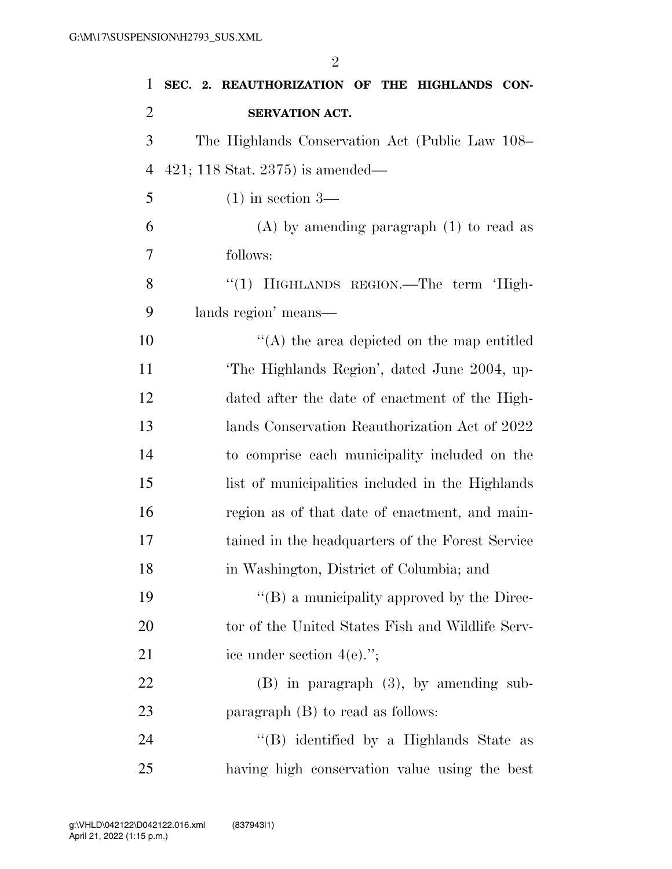| 1              | SEC. 2. REAUTHORIZATION OF THE HIGHLANDS CON-      |
|----------------|----------------------------------------------------|
| $\overline{2}$ | SERVATION ACT.                                     |
| 3              | The Highlands Conservation Act (Public Law 108–    |
| $\overline{4}$ | 421; 118 Stat. 2375) is amended—                   |
| 5              | $(1)$ in section 3—                                |
| 6              | $(A)$ by amending paragraph $(1)$ to read as       |
| 7              | follows:                                           |
| 8              | "(1) HIGHLANDS REGION.—The term 'High-             |
| 9              | lands region' means—                               |
| 10             | $\lq\lq$ the area depicted on the map entitled     |
| 11             | The Highlands Region', dated June 2004, up-        |
| 12             | dated after the date of enactment of the High-     |
| 13             | lands Conservation Reauthorization Act of 2022     |
| 14             | to comprise each municipality included on the      |
| 15             | list of municipalities included in the Highlands   |
| 16             | region as of that date of enactment, and main-     |
| 17             | tained in the headquarters of the Forest Service   |
| 18             | in Washington, District of Columbia; and           |
| 19             | $\lq\lq (B)$ a municipality approved by the Direc- |
| 20             | tor of the United States Fish and Wildlife Serv-   |
| 21             | ice under section $4(e)$ .";                       |
| 22             | $(B)$ in paragraph $(3)$ , by amending sub-        |
| 23             | paragraph $(B)$ to read as follows:                |
| 24             | "(B) identified by a Highlands State as            |
| 25             | having high conservation value using the best      |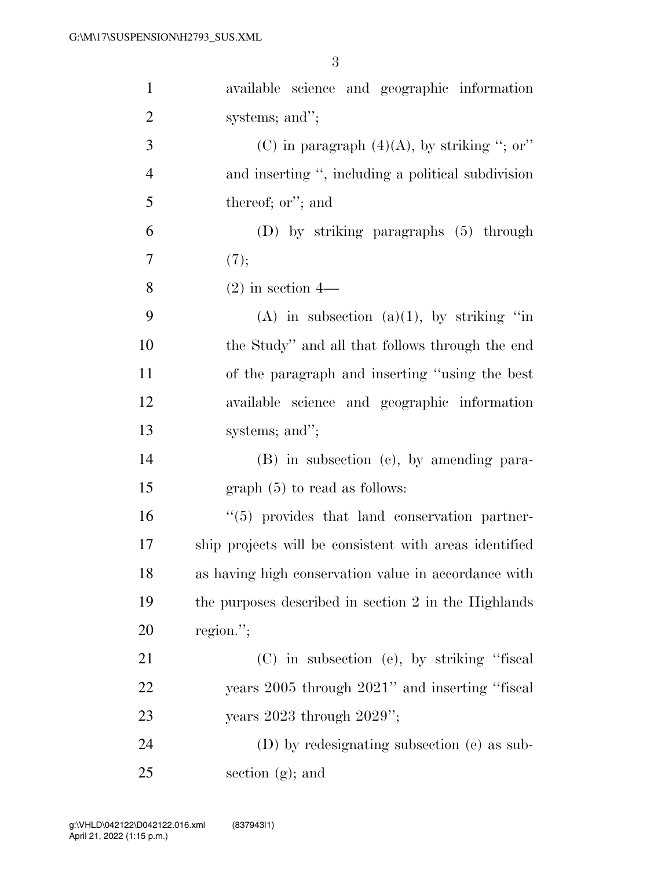| $\mathbf{1}$   | available science and geographic information           |
|----------------|--------------------------------------------------------|
| $\overline{2}$ | systems; and";                                         |
| 3              | (C) in paragraph $(4)(A)$ , by striking "; or"         |
| $\overline{4}$ | and inserting ", including a political subdivision     |
| 5              | thereof; or"; and                                      |
| 6              | $(D)$ by striking paragraphs $(5)$ through             |
| 7              | (7);                                                   |
| 8              | $(2)$ in section 4—                                    |
| 9              | (A) in subsection (a)(1), by striking "in              |
| 10             | the Study" and all that follows through the end        |
| 11             | of the paragraph and inserting "using the best"        |
| 12             | available science and geographic information           |
| 13             | systems; and";                                         |
| 14             | $(B)$ in subsection $(c)$ , by amending para-          |
| 15             | $graph(5)$ to read as follows:                         |
| 16             | "(5) provides that land conservation partner-          |
| 17             | ship projects will be consistent with areas identified |
| 18             | as having high conservation value in accordance with   |
| 19             | the purposes described in section 2 in the Highlands   |
| 20             | region.";                                              |
| 21             | (C) in subsection (e), by striking "fiscal             |
| 22             | years 2005 through 2021" and inserting "fiscal         |
| 23             | years $2023$ through $2029$ ";                         |
| 24             | (D) by redesignating subsection (e) as sub-            |
| 25             | section $(g)$ ; and                                    |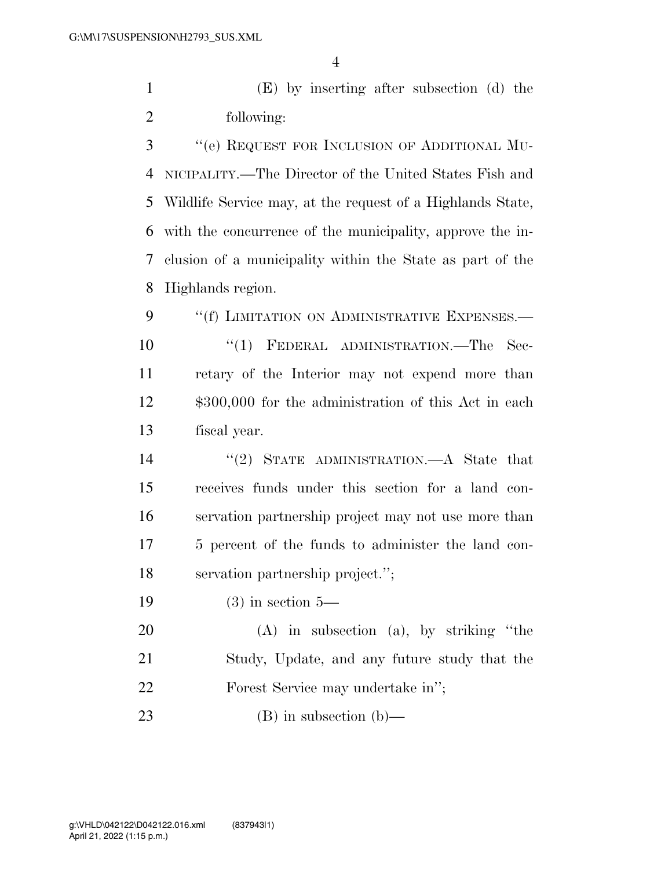(E) by inserting after subsection (d) the following:

 ''(e) REQUEST FOR INCLUSION OF ADDITIONAL MU- NICIPALITY.—The Director of the United States Fish and Wildlife Service may, at the request of a Highlands State, with the concurrence of the municipality, approve the in- clusion of a municipality within the State as part of the Highlands region.

9 "(f) LIMITATION ON ADMINISTRATIVE EXPENSES.— ''(1) FEDERAL ADMINISTRATION.—The Sec- retary of the Interior may not expend more than \$300,000 for the administration of this Act in each fiscal year.

 ''(2) STATE ADMINISTRATION.—A State that receives funds under this section for a land con- servation partnership project may not use more than 5 percent of the funds to administer the land con-servation partnership project.'';

(3) in section 5—

 (A) in subsection (a), by striking ''the Study, Update, and any future study that the Forest Service may undertake in'';

(B) in subsection (b)—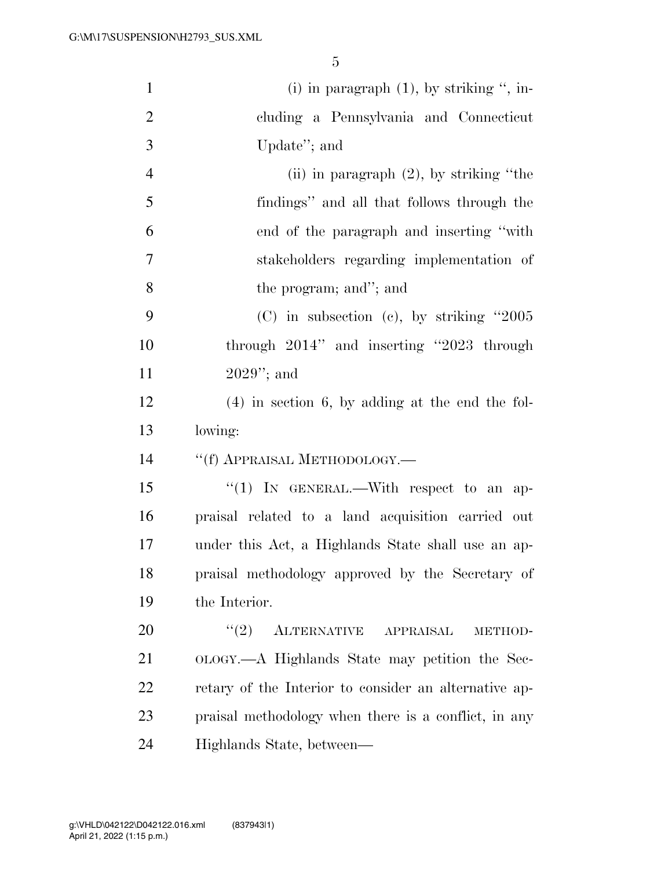| $\mathbf{1}$   | (i) in paragraph $(1)$ , by striking ", in-           |
|----------------|-------------------------------------------------------|
| $\overline{2}$ | cluding a Pennsylvania and Connecticut                |
| 3              | Update"; and                                          |
| $\overline{4}$ | (ii) in paragraph $(2)$ , by striking "the            |
| 5              | findings" and all that follows through the            |
| 6              | end of the paragraph and inserting "with"             |
| $\tau$         | stakeholders regarding implementation of              |
| 8              | the program; and"; and                                |
| 9              | $(C)$ in subsection $(c)$ , by striking "2005         |
| 10             | through $2014$ " and inserting " $2023$ through       |
| 11             | $2029$ "; and                                         |
| 12             | $(4)$ in section 6, by adding at the end the fol-     |
| 13             | lowing:                                               |
| 14             | "(f) APPRAISAL METHODOLOGY.—                          |
| 15             | "(1) IN GENERAL.—With respect to an ap-               |
| 16             | praisal related to a land acquisition carried out     |
| 17             | under this Act, a Highlands State shall use an ap-    |
| 18             | praisal methodology approved by the Secretary of      |
| 19             | the Interior.                                         |
| 20             | (2)<br>ALTERNATIVE APPRAISAL<br>METHOD-               |
| 21             | OLOGY.—A Highlands State may petition the Sec-        |
| 22             | retary of the Interior to consider an alternative ap- |
| 23             | praisal methodology when there is a conflict, in any  |
| 24             | Highlands State, between—                             |